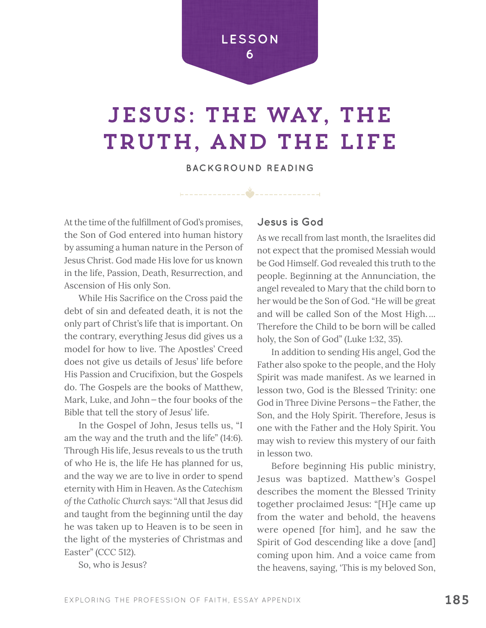**LESSON 6**

# JESUS: THE WAY, THE TRUTH, AND THE LIFE

**BACKGROUND READING**

 $-1/2$ 

At the time of the fulfillment of God's promises, the Son of God entered into human history by assuming a human nature in the Person of Jesus Christ. God made His love for us known in the life, Passion, Death, Resurrection, and Ascension of His only Son.

While His Sacrifice on the Cross paid the debt of sin and defeated death, it is not the only part of Christ's life that is important. On the contrary, everything Jesus did gives us a model for how to live. The Apostles' Creed does not give us details of Jesus' life before His Passion and Crucifixion, but the Gospels do. The Gospels are the books of Matthew, Mark, Luke, and John—the four books of the Bible that tell the story of Jesus' life.

In the Gospel of John, Jesus tells us, "I am the way and the truth and the life" (14:6). Through His life, Jesus reveals to us the truth of who He is, the life He has planned for us, and the way we are to live in order to spend eternity with Him in Heaven. As the *Catechism of the Catholic Church* says: "All that Jesus did and taught from the beginning until the day he was taken up to Heaven is to be seen in the light of the mysteries of Christmas and Easter" (CCC 512).

So, who is Jesus?

#### **Jesus is God**

As we recall from last month, the Israelites did not expect that the promised Messiah would be God Himself. God revealed this truth to the people. Beginning at the Annunciation, the angel revealed to Mary that the child born to her would be the Son of God. "He will be great and will be called Son of the Most High. ... Therefore the Child to be born will be called holy, the Son of God" (Luke 1:32, 35).

In addition to sending His angel, God the Father also spoke to the people, and the Holy Spirit was made manifest. As we learned in lesson two, God is the Blessed Trinity: one God in Three Divine Persons—the Father, the Son, and the Holy Spirit. Therefore, Jesus is one with the Father and the Holy Spirit. You may wish to review this mystery of our faith in lesson two.

Before beginning His public ministry, Jesus was baptized. Matthew's Gospel describes the moment the Blessed Trinity together proclaimed Jesus: "[H]e came up from the water and behold, the heavens were opened [for him], and he saw the Spirit of God descending like a dove [and] coming upon him. And a voice came from the heavens, saying, 'This is my beloved Son,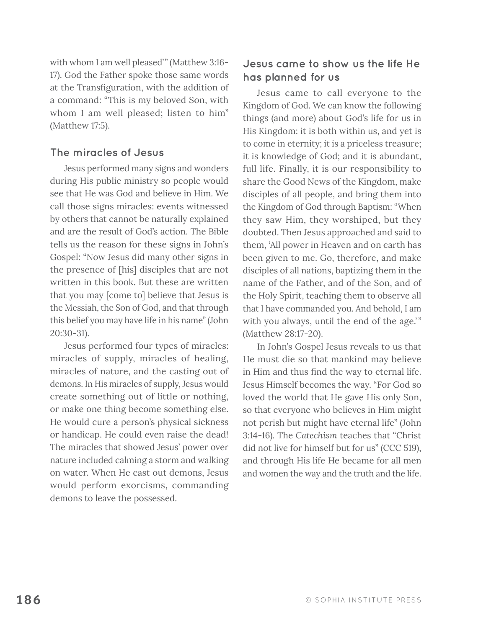with whom I am well pleased'" (Matthew 3:16- 17). God the Father spoke those same words at the Transfiguration, with the addition of a command: "This is my beloved Son, with whom I am well pleased; listen to him" (Matthew 17:5).

#### **The miracles of Jesus**

Jesus performed many signs and wonders during His public ministry so people would see that He was God and believe in Him. We call those signs miracles: events witnessed by others that cannot be naturally explained and are the result of God's action. The Bible tells us the reason for these signs in John's Gospel: "Now Jesus did many other signs in the presence of [his] disciples that are not written in this book. But these are written that you may [come to] believe that Jesus is the Messiah, the Son of God, and that through this belief you may have life in his name" (John 20:30-31).

Jesus performed four types of miracles: miracles of supply, miracles of healing, miracles of nature, and the casting out of demons. In His miracles of supply, Jesus would create something out of little or nothing, or make one thing become something else. He would cure a person's physical sickness or handicap. He could even raise the dead! The miracles that showed Jesus' power over nature included calming a storm and walking on water. When He cast out demons, Jesus would perform exorcisms, commanding demons to leave the possessed.

### **Jesus came to show us the life He has planned for us**

Jesus came to call everyone to the Kingdom of God. We can know the following things (and more) about God's life for us in His Kingdom: it is both within us, and yet is to come in eternity; it is a priceless treasure; it is knowledge of God; and it is abundant, full life. Finally, it is our responsibility to share the Good News of the Kingdom, make disciples of all people, and bring them into the Kingdom of God through Baptism: "When they saw Him, they worshiped, but they doubted. Then Jesus approached and said to them, 'All power in Heaven and on earth has been given to me. Go, therefore, and make disciples of all nations, baptizing them in the name of the Father, and of the Son, and of the Holy Spirit, teaching them to observe all that I have commanded you. And behold, I am with you always, until the end of the age.'" (Matthew 28:17-20).

In John's Gospel Jesus reveals to us that He must die so that mankind may believe in Him and thus find the way to eternal life. Jesus Himself becomes the way. "For God so loved the world that He gave His only Son, so that everyone who believes in Him might not perish but might have eternal life" (John 3:14-16). The *Catechism* teaches that "Christ did not live for himself but for us" (CCC 519), and through His life He became for all men and women the way and the truth and the life.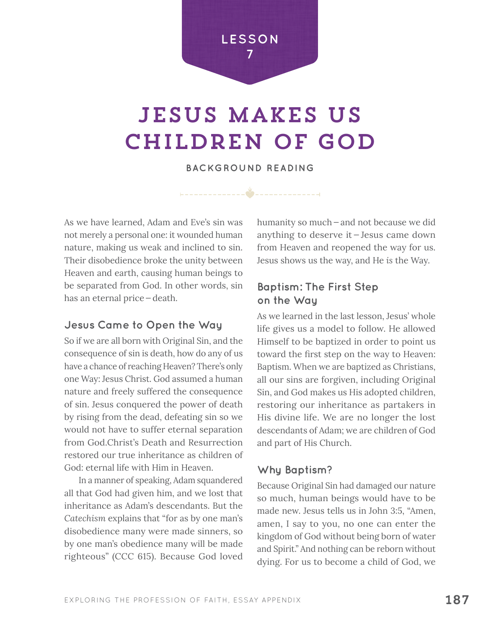

# jesus makes us children of god

**BACKGROUND READING**

As we have learned, Adam and Eve's sin was not merely a personal one: it wounded human nature, making us weak and inclined to sin. Their disobedience broke the unity between Heaven and earth, causing human beings to be separated from God. In other words, sin has an eternal price—death.

#### **Jesus Came to Open the Way**

So if we are all born with Original Sin, and the consequence of sin is death, how do any of us have a chance of reaching Heaven? There's only one Way: Jesus Christ. God assumed a human nature and freely suffered the consequence of sin. Jesus conquered the power of death by rising from the dead, defeating sin so we would not have to suffer eternal separation from God.Christ's Death and Resurrection restored our true inheritance as children of God: eternal life with Him in Heaven.

In a manner of speaking, Adam squandered all that God had given him, and we lost that inheritance as Adam's descendants. But the *Catechism* explains that "for as by one man's disobedience many were made sinners, so by one man's obedience many will be made righteous" (CCC 615). Because God loved

humanity so much—and not because we did anything to deserve it — Jesus came down from Heaven and reopened the way for us. Jesus shows us the way, and He *is* the Way.

#### **Baptism: The First Step on the Way**

As we learned in the last lesson, Jesus' whole life gives us a model to follow. He allowed Himself to be baptized in order to point us toward the first step on the way to Heaven: Baptism. When we are baptized as Christians, all our sins are forgiven, including Original Sin, and God makes us His adopted children, restoring our inheritance as partakers in His divine life. We are no longer the lost descendants of Adam; we are children of God and part of His Church.

#### **Why Baptism?**

Because Original Sin had damaged our nature so much, human beings would have to be made new. Jesus tells us in John 3:5, "Amen, amen, I say to you, no one can enter the kingdom of God without being born of water and Spirit." And nothing can be reborn without dying. For us to become a child of God, we